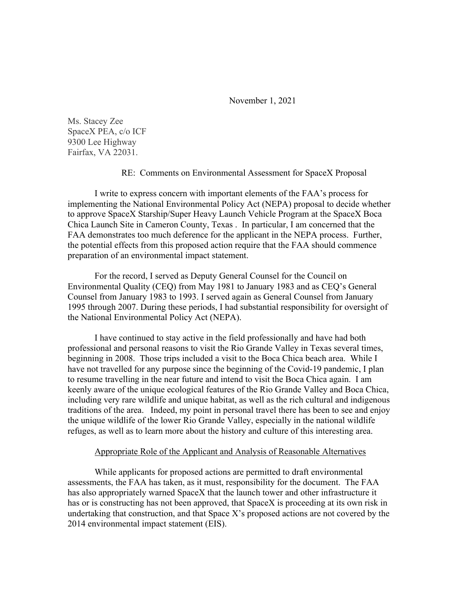November 1, 2021

Ms. Stacey Zee SpaceX PEA, c/o ICF 9300 Lee Highway Fairfax, VA 22031.

## RE: Comments on Environmental Assessment for SpaceX Proposal

I write to express concern with important elements of the FAA's process for implementing the National Environmental Policy Act (NEPA) proposal to decide whether to approve SpaceX Starship/Super Heavy Launch Vehicle Program at the SpaceX Boca Chica Launch Site in Cameron County, Texas . In particular, I am concerned that the FAA demonstrates too much deference for the applicant in the NEPA process. Further, the potential effects from this proposed action require that the FAA should commence preparation of an environmental impact statement.

For the record, I served as Deputy General Counsel for the Council on Environmental Quality (CEQ) from May 1981 to January 1983 and as CEQ's General Counsel from January 1983 to 1993. I served again as General Counsel from January 1995 through 2007. During these periods, I had substantial responsibility for oversight of the National Environmental Policy Act (NEPA).

I have continued to stay active in the field professionally and have had both professional and personal reasons to visit the Rio Grande Valley in Texas several times, beginning in 2008. Those trips included a visit to the Boca Chica beach area. While I have not travelled for any purpose since the beginning of the Covid-19 pandemic, I plan to resume travelling in the near future and intend to visit the Boca Chica again. I am keenly aware of the unique ecological features of the Rio Grande Valley and Boca Chica, including very rare wildlife and unique habitat, as well as the rich cultural and indigenous traditions of the area. Indeed, my point in personal travel there has been to see and enjoy the unique wildlife of the lower Rio Grande Valley, especially in the national wildlife refuges, as well as to learn more about the history and culture of this interesting area.

## Appropriate Role of the Applicant and Analysis of Reasonable Alternatives

While applicants for proposed actions are permitted to draft environmental assessments, the FAA has taken, as it must, responsibility for the document. The FAA has also appropriately warned SpaceX that the launch tower and other infrastructure it has or is constructing has not been approved, that SpaceX is proceeding at its own risk in undertaking that construction, and that Space X's proposed actions are not covered by the 2014 environmental impact statement (EIS).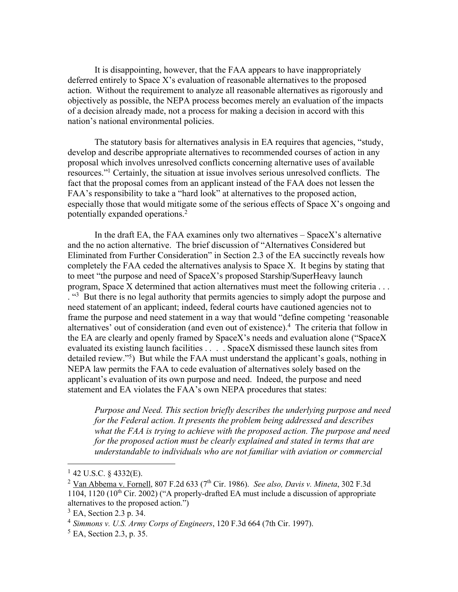It is disappointing, however, that the FAA appears to have inappropriately deferred entirely to Space X's evaluation of reasonable alternatives to the proposed action. Without the requirement to analyze all reasonable alternatives as rigorously and objectively as possible, the NEPA process becomes merely an evaluation of the impacts of a decision already made, not a process for making a decision in accord with this nation's national environmental policies.

The statutory basis for alternatives analysis in EA requires that agencies, "study, develop and describe appropriate alternatives to recommended courses of action in any proposal which involves unresolved conflicts concerning alternative uses of available resources."1 Certainly, the situation at issue involves serious unresolved conflicts. The fact that the proposal comes from an applicant instead of the FAA does not lessen the FAA's responsibility to take a "hard look" at alternatives to the proposed action, especially those that would mitigate some of the serious effects of Space X's ongoing and potentially expanded operations.2

In the draft EA, the FAA examines only two alternatives – SpaceX's alternative and the no action alternative. The brief discussion of "Alternatives Considered but Eliminated from Further Consideration" in Section 2.3 of the EA succinctly reveals how completely the FAA ceded the alternatives analysis to Space X. It begins by stating that to meet "the purpose and need of SpaceX's proposed Starship/SuperHeavy launch program, Space X determined that action alternatives must meet the following criteria . . . <sup>43</sup> But there is no legal authority that permits agencies to simply adopt the purpose and need statement of an applicant; indeed, federal courts have cautioned agencies not to frame the purpose and need statement in a way that would "define competing 'reasonable alternatives' out of consideration (and even out of existence).<sup>4</sup> The criteria that follow in the EA are clearly and openly framed by SpaceX's needs and evaluation alone ("SpaceX evaluated its existing launch facilities . . . . SpaceX dismissed these launch sites from detailed review."<sup>5</sup>) But while the FAA must understand the applicant's goals, nothing in NEPA law permits the FAA to cede evaluation of alternatives solely based on the applicant's evaluation of its own purpose and need. Indeed, the purpose and need statement and EA violates the FAA's own NEPA procedures that states:

*Purpose and Need. This section briefly describes the underlying purpose and need for the Federal action. It presents the problem being addressed and describes what the FAA is trying to achieve with the proposed action. The purpose and need for the proposed action must be clearly explained and stated in terms that are understandable to individuals who are not familiar with aviation or commercial* 

 $1$  42 U.S.C. § 4332(E).

<sup>&</sup>lt;sup>2</sup> Van Abbema v. Fornell, 807 F.2d 633 (7<sup>th</sup> Cir. 1986). *See also, Davis v. Mineta*, 302 F.3d  $1104$ ,  $1120$   $(10<sup>th</sup>$  Cir. 2002) ("A properly-drafted EA must include a discussion of appropriate alternatives to the proposed action.")

 $3$  EA, Section 2.3 p. 34.

<sup>4</sup> *Simmons v. U.S. Army Corps of Engineers*, 120 F.3d 664 (7th Cir. 1997).

<sup>&</sup>lt;sup>5</sup> EA, Section 2.3, p. 35.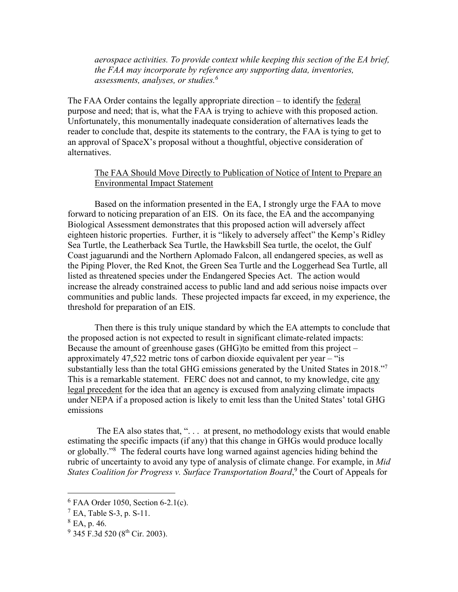*aerospace activities. To provide context while keeping this section of the EA brief, the FAA may incorporate by reference any supporting data, inventories, assessments, analyses, or studies.6*

The FAA Order contains the legally appropriate direction – to identify the federal purpose and need; that is, what the FAA is trying to achieve with this proposed action. Unfortunately, this monumentally inadequate consideration of alternatives leads the reader to conclude that, despite its statements to the contrary, the FAA is tying to get to an approval of SpaceX's proposal without a thoughtful, objective consideration of alternatives.

## The FAA Should Move Directly to Publication of Notice of Intent to Prepare an Environmental Impact Statement

Based on the information presented in the EA, I strongly urge the FAA to move forward to noticing preparation of an EIS. On its face, the EA and the accompanying Biological Assessment demonstrates that this proposed action will adversely affect eighteen historic properties. Further, it is "likely to adversely affect" the Kemp's Ridley Sea Turtle, the Leatherback Sea Turtle, the Hawksbill Sea turtle, the ocelot, the Gulf Coast jaguarundi and the Northern Aplomado Falcon, all endangered species, as well as the Piping Plover, the Red Knot, the Green Sea Turtle and the Loggerhead Sea Turtle, all listed as threatened species under the Endangered Species Act. The action would increase the already constrained access to public land and add serious noise impacts over communities and public lands. These projected impacts far exceed, in my experience, the threshold for preparation of an EIS.

Then there is this truly unique standard by which the EA attempts to conclude that the proposed action is not expected to result in significant climate-related impacts: Because the amount of greenhouse gases (GHG)to be emitted from this project – approximately 47,522 metric tons of carbon dioxide equivalent per year – "is substantially less than the total GHG emissions generated by the United States in 2018."7 This is a remarkable statement. FERC does not and cannot, to my knowledge, cite any legal precedent for the idea that an agency is excused from analyzing climate impacts under NEPA if a proposed action is likely to emit less than the United States' total GHG emissions

The EA also states that, "... at present, no methodology exists that would enable estimating the specific impacts (if any) that this change in GHGs would produce locally or globally."8 The federal courts have long warned against agencies hiding behind the rubric of uncertainty to avoid any type of analysis of climate change. For example, in *Mid*  States Coalition for Progress v. Surface Transportation Board,<sup>9</sup> the Court of Appeals for

 $6$  FAA Order 1050, Section 6-2.1(c).

 $^7$  EA, Table S-3, p. S-11.

 $8$  EA, p. 46.

 $9$  345 F.3d 520 (8<sup>th</sup> Cir. 2003).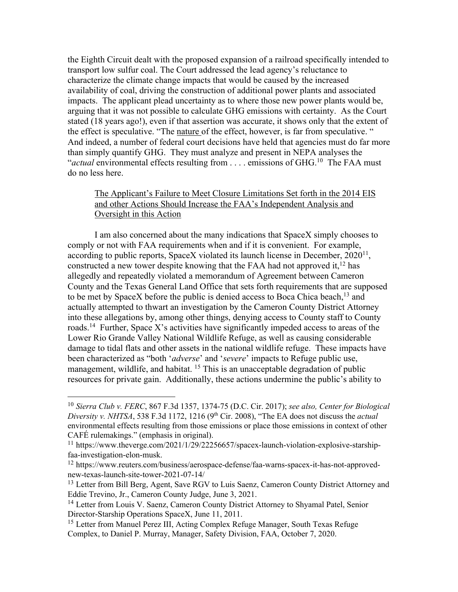the Eighth Circuit dealt with the proposed expansion of a railroad specifically intended to transport low sulfur coal. The Court addressed the lead agency's reluctance to characterize the climate change impacts that would be caused by the increased availability of coal, driving the construction of additional power plants and associated impacts. The applicant plead uncertainty as to where those new power plants would be, arguing that it was not possible to calculate GHG emissions with certainty. As the Court stated (18 years ago!), even if that assertion was accurate, it shows only that the extent of the effect is speculative. "The nature of the effect, however, is far from speculative. " And indeed, a number of federal court decisions have held that agencies must do far more than simply quantify GHG. They must analyze and present in NEPA analyses the "*actual* environmental effects resulting from . . . . emissions of GHG.10 The FAA must do no less here.

## The Applicant's Failure to Meet Closure Limitations Set forth in the 2014 EIS and other Actions Should Increase the FAA's Independent Analysis and Oversight in this Action

I am also concerned about the many indications that SpaceX simply chooses to comply or not with FAA requirements when and if it is convenient. For example, according to public reports, SpaceX violated its launch license in December,  $2020^{11}$ , constructed a new tower despite knowing that the FAA had not approved it,  $12$  has allegedly and repeatedly violated a memorandum of Agreement between Cameron County and the Texas General Land Office that sets forth requirements that are supposed to be met by SpaceX before the public is denied access to Boca Chica beach, $^{13}$  and actually attempted to thwart an investigation by the Cameron County District Attorney into these allegations by, among other things, denying access to County staff to County roads.14 Further, Space X's activities have significantly impeded access to areas of the Lower Rio Grande Valley National Wildlife Refuge, as well as causing considerable damage to tidal flats and other assets in the national wildlife refuge. These impacts have been characterized as "both '*adverse*' and '*severe*' impacts to Refuge public use, management, wildlife, and habitat. <sup>15</sup> This is an unacceptable degradation of public resources for private gain. Additionally, these actions undermine the public's ability to

<sup>10</sup> *Sierra Club v. FERC*, 867 F.3d 1357, 1374-75 (D.C. Cir. 2017); *see also, Center for Biological Diversity v. NHTSA*, 538 F.3d 1172, 1216 (9th Cir. 2008), "The EA does not discuss the *actual* environmental effects resulting from those emissions or place those emissions in context of other CAFÉ rulemakings." (emphasis in original).

<sup>&</sup>lt;sup>11</sup> https://www.theverge.com/2021/1/29/22256657/spacex-launch-violation-explosive-starshipfaa-investigation-elon-musk.

<sup>12</sup> https://www.reuters.com/business/aerospace-defense/faa-warns-spacex-it-has-not-approvednew-texas-launch-site-tower-2021-07-14/

<sup>&</sup>lt;sup>13</sup> Letter from Bill Berg, Agent, Save RGV to Luis Saenz, Cameron County District Attorney and Eddie Trevino, Jr., Cameron County Judge, June 3, 2021.

<sup>&</sup>lt;sup>14</sup> Letter from Louis V. Saenz, Cameron County District Attorney to Shyamal Patel, Senior Director-Starship Operations SpaceX, June 11, 2011.

<sup>&</sup>lt;sup>15</sup> Letter from Manuel Perez III, Acting Complex Refuge Manager, South Texas Refuge Complex, to Daniel P. Murray, Manager, Safety Division, FAA, October 7, 2020.